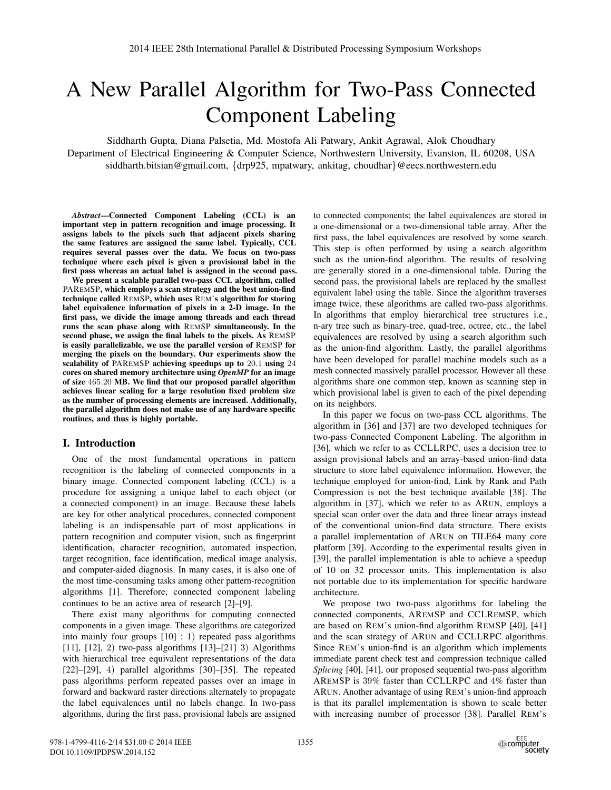# A New Parallel Algorithm for Two-Pass Connected Component Labeling

Siddharth Gupta, Diana Palsetia, Md. Mostofa Ali Patwary, Ankit Agrawal, Alok Choudhary Department of Electrical Engineering & Computer Science, Northwestern University, Evanston, IL 60208, USA siddharth.bitsian@gmail.com, {drp925, mpatwary, ankitag, choudhar}@eecs.northwestern.edu

*Abstract*—Connected Component Labeling (CCL) is an important step in pattern recognition and image processing. It assigns labels to the pixels such that adjacent pixels sharing the same features are assigned the same label. Typically, CCL requires several passes over the data. We focus on two-pass technique where each pixel is given a provisional label in the first pass whereas an actual label is assigned in the second pass.

We present a scalable parallel two-pass CCL algorithm, called PAREMSP, which employs a scan strategy and the best union-find technique called REMSP, which uses REM's algorithm for storing label equivalence information of pixels in a 2-D image. In the first pass, we divide the image among threads and each thread runs the scan phase along with REMSP simultaneously. In the second phase, we assign the final labels to the pixels. As REMSP is easily parallelizable, we use the parallel version of REMSP for merging the pixels on the boundary. Our experiments show the scalability of PAREMSP achieving speedups up to 20.1 using 24 cores on shared memory architecture using *OpenMP* for an image of size 465.20 MB. We find that our proposed parallel algorithm achieves linear scaling for a large resolution fixed problem size as the number of processing elements are increased. Additionally, the parallel algorithm does not make use of any hardware specific routines, and thus is highly portable.

# I. Introduction

One of the most fundamental operations in pattern recognition is the labeling of connected components in a binary image. Connected component labeling (CCL) is a procedure for assigning a unique label to each object (or a connected component) in an image. Because these labels are key for other analytical procedures, connected component labeling is an indispensable part of most applications in pattern recognition and computer vision, such as fingerprint identification, character recognition, automated inspection, target recognition, face identification, medical image analysis, and computer-aided diagnosis. In many cases, it is also one of the most time-consuming tasks among other pattern-recognition algorithms [1]. Therefore, connected component labeling continues to be an active area of research [2]–[9].

There exist many algorithms for computing connected components in a given image. These algorithms are categorized into mainly four groups [10] : 1) repeated pass algorithms [11], [12], 2) two-pass algorithms [13]-[21] 3) Algorithms with hierarchical tree equivalent representations of the data [22]–[29], 4) parallel algorithms [30]–[35]. The repeated pass algorithms perform repeated passes over an image in forward and backward raster directions alternately to propagate the label equivalences until no labels change. In two-pass algorithms, during the first pass, provisional labels are assigned to connected components; the label equivalences are stored in a one-dimensional or a two-dimensional table array. After the first pass, the label equivalences are resolved by some search. This step is often performed by using a search algorithm such as the union-find algorithm. The results of resolving are generally stored in a one-dimensional table. During the second pass, the provisional labels are replaced by the smallest equivalent label using the table. Since the algorithm traverses image twice, these algorithms are called two-pass algorithms. In algorithms that employ hierarchical tree structures i.e., n-ary tree such as binary-tree, quad-tree, octree, etc., the label equivalences are resolved by using a search algorithm such as the union-find algorithm. Lastly, the parallel algorithms have been developed for parallel machine models such as a mesh connected massively parallel processor. However all these algorithms share one common step, known as scanning step in which provisional label is given to each of the pixel depending on its neighbors.

In this paper we focus on two-pass CCL algorithms. The algorithm in [36] and [37] are two developed techniques for two-pass Connected Component Labeling. The algorithm in [36], which we refer to as CCLLRPC, uses a decision tree to assign provisional labels and an array-based union-find data structure to store label equivalence information. However, the technique employed for union-find, Link by Rank and Path Compression is not the best technique available [38]. The algorithm in [37], which we refer to as ARUN, employs a special scan order over the data and three linear arrays instead of the conventional union-find data structure. There exists a parallel implementation of ARUN on TILE64 many core platform [39]. According to the experimental results given in [39], the parallel implementation is able to achieve a speedup of 10 on 32 processor units. This implementation is also not portable due to its implementation for specific hardware architecture.

We propose two two-pass algorithms for labeling the connected components, AREMSP and CCLREMSP, which are based on REM's union-find algorithm REMSP [40], [41] and the scan strategy of ARUN and CCLLRPC algorithms. Since REM's union-find is an algorithm which implements immediate parent check test and compression technique called *Splicing* [40], [41], our proposed sequential two-pass algorithm AREMSP is 39% faster than CCLLRPC and 4% faster than ARUN. Another advantage of using REM's union-find approach is that its parallel implementation is shown to scale better with increasing number of processor [38]. Parallel REM's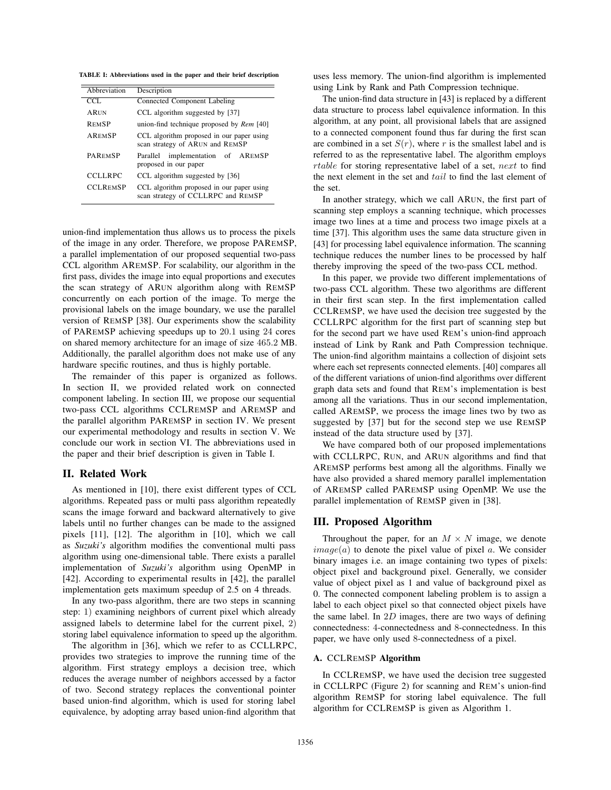TABLE I: Abbreviations used in the paper and their brief description

| Abbreviation    | Description                                                                     |  |  |  |
|-----------------|---------------------------------------------------------------------------------|--|--|--|
| CCL.            | Connected Component Labeling                                                    |  |  |  |
| <b>ARIN</b>     | CCL algorithm suggested by [37]                                                 |  |  |  |
| <b>REMSP</b>    | union-find technique proposed by Rem [40]                                       |  |  |  |
| <b>AREMSP</b>   | CCL algorithm proposed in our paper using<br>scan strategy of ARUN and REMSP    |  |  |  |
| <b>PAREMSP</b>  | implementation of AREMSP<br>Parallel<br>proposed in our paper                   |  |  |  |
| <b>CCLLRPC</b>  | CCL algorithm suggested by [36]                                                 |  |  |  |
| <b>CCLREMSP</b> | CCL algorithm proposed in our paper using<br>scan strategy of CCLLRPC and REMSP |  |  |  |

union-find implementation thus allows us to process the pixels of the image in any order. Therefore, we propose PAREMSP, a parallel implementation of our proposed sequential two-pass CCL algorithm AREMSP. For scalability, our algorithm in the first pass, divides the image into equal proportions and executes the scan strategy of ARUN algorithm along with REMSP concurrently on each portion of the image. To merge the provisional labels on the image boundary, we use the parallel version of REMSP [38]. Our experiments show the scalability of PAREMSP achieving speedups up to 20.1 using 24 cores on shared memory architecture for an image of size 465.2 MB. Additionally, the parallel algorithm does not make use of any hardware specific routines, and thus is highly portable.

The remainder of this paper is organized as follows. In section II, we provided related work on connected component labeling. In section III, we propose our sequential two-pass CCL algorithms CCLREMSP and AREMSP and the parallel algorithm PAREMSP in section IV. We present our experimental methodology and results in section V. We conclude our work in section VI. The abbreviations used in the paper and their brief description is given in Table I.

# II. Related Work

As mentioned in [10], there exist different types of CCL algorithms. Repeated pass or multi pass algorithm repeatedly scans the image forward and backward alternatively to give labels until no further changes can be made to the assigned pixels [11], [12]. The algorithm in [10], which we call as *Suzuki's* algorithm modifies the conventional multi pass algorithm using one-dimensional table. There exists a parallel implementation of *Suzuki's* algorithm using OpenMP in [42]. According to experimental results in [42], the parallel implementation gets maximum speedup of 2.5 on 4 threads.

In any two-pass algorithm, there are two steps in scanning step: 1) examining neighbors of current pixel which already assigned labels to determine label for the current pixel, 2) storing label equivalence information to speed up the algorithm.

The algorithm in [36], which we refer to as CCLLRPC, provides two strategies to improve the running time of the algorithm. First strategy employs a decision tree, which reduces the average number of neighbors accessed by a factor of two. Second strategy replaces the conventional pointer based union-find algorithm, which is used for storing label equivalence, by adopting array based union-find algorithm that uses less memory. The union-find algorithm is implemented using Link by Rank and Path Compression technique.

The union-find data structure in [43] is replaced by a different data structure to process label equivalence information. In this algorithm, at any point, all provisional labels that are assigned to a connected component found thus far during the first scan are combined in a set  $S(r)$ , where r is the smallest label and is referred to as the representative label. The algorithm employs rtable for storing representative label of a set, next to find the next element in the set and tail to find the last element of the set.

In another strategy, which we call ARUN, the first part of scanning step employs a scanning technique, which processes image two lines at a time and process two image pixels at a time [37]. This algorithm uses the same data structure given in [43] for processing label equivalence information. The scanning technique reduces the number lines to be processed by half thereby improving the speed of the two-pass CCL method.

In this paper, we provide two different implementations of two-pass CCL algorithm. These two algorithms are different in their first scan step. In the first implementation called CCLREMSP, we have used the decision tree suggested by the CCLLRPC algorithm for the first part of scanning step but for the second part we have used REM's union-find approach instead of Link by Rank and Path Compression technique. The union-find algorithm maintains a collection of disjoint sets where each set represents connected elements. [40] compares all of the different variations of union-find algorithms over different graph data sets and found that REM's implementation is best among all the variations. Thus in our second implementation, called AREMSP, we process the image lines two by two as suggested by [37] but for the second step we use REMSP instead of the data structure used by [37].

We have compared both of our proposed implementations with CCLLRPC, RUN, and ARUN algorithms and find that AREMSP performs best among all the algorithms. Finally we have also provided a shared memory parallel implementation of AREMSP called PAREMSP using OpenMP. We use the parallel implementation of REMSP given in [38].

# III. Proposed Algorithm

Throughout the paper, for an  $M \times N$  image, we denote  $image(a)$  to denote the pixel value of pixel a. We consider binary images i.e. an image containing two types of pixels: object pixel and background pixel. Generally, we consider value of object pixel as 1 and value of background pixel as 0. The connected component labeling problem is to assign a label to each object pixel so that connected object pixels have the same label. In  $2D$  images, there are two ways of defining connectedness: 4-connectedness and 8-connectedness. In this paper, we have only used 8-connectedness of a pixel.

# A. CCLREMSP Algorithm

In CCLREMSP, we have used the decision tree suggested in CCLLRPC (Figure 2) for scanning and REM's union-find algorithm REMSP for storing label equivalence. The full algorithm for CCLREMSP is given as Algorithm 1.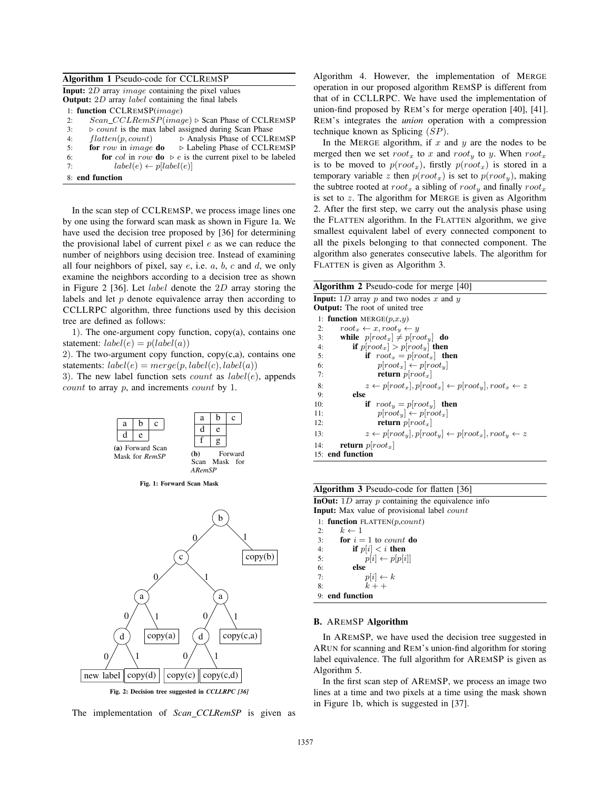|  |  |  |  | Algorithm 1 Pseudo-code for CCLREMSP |
|--|--|--|--|--------------------------------------|
|--|--|--|--|--------------------------------------|

Input: 2D array image containing the pixel values Output: 2D array label containing the final labels

2:  $Scan\_CCLRemSP (image) \triangleright$  Scan Phase of CCLREMSP

 $3:$   $\triangleright$  count is the max label assigned during Scan Phase

- 4:  $flatten(p, count)$   $\rightarrow$  Analysis Phase of CCLREMSP<br>5: **for** row in *image* **do**  $\rightarrow$  Labeling Phase of CCLREMSP  $D$  Labeling Phase of CCLREMSP
- 6: **for** col in row **do**  $\triangleright$  e is the current pixel to be labeled

7:  $label(e) \leftarrow p[label(e)]$ 

```
8: end function
```
In the scan step of CCLREMSP, we process image lines one by one using the forward scan mask as shown in Figure 1a. We have used the decision tree proposed by [36] for determining the provisional label of current pixel  $e$  as we can reduce the number of neighbors using decision tree. Instead of examining all four neighbors of pixel, say  $e$ , i.e.  $a$ ,  $b$ ,  $c$  and  $d$ , we only examine the neighbors according to a decision tree as shown in Figure 2 [36]. Let label denote the 2D array storing the labels and let p denote equivalence array then according to CCLLRPC algorithm, three functions used by this decision tree are defined as follows:

1). The one-argument copy function,  $copy(a)$ , contains one statement:  $label(e) = p(label(a))$ 

2). The two-argument copy function,  $copy(c,a)$ , contains one statements:  $label(e) = merge(p, label(c), label(a))$ 

3). The new label function sets *count* as  $label(e)$ , appends count to array p, and increments count by 1.







The implementation of *Scan CCLRemSP* is given as

Algorithm 4. However, the implementation of MERGE operation in our proposed algorithm REMSP is different from that of in CCLLRPC. We have used the implementation of union-find proposed by REM's for merge operation [40], [41]. REM's integrates the *union* operation with a compression technique known as Splicing (SP).

In the MERGE algorithm, if  $x$  and  $y$  are the nodes to be merged then we set  $root_x$  to x and  $root_y$  to y. When  $root_x$ is to be moved to  $p(root_x)$ , firstly  $p(root_x)$  is stored in a temporary variable z then  $p(root_x)$  is set to  $p(root_y)$ , making the subtree rooted at  $root_x$  a sibling of  $root_y$  and finally  $root_x$ is set to  $z$ . The algorithm for MERGE is given as Algorithm 2. After the first step, we carry out the analysis phase using the FLATTEN algorithm. In the FLATTEN algorithm, we give smallest equivalent label of every connected component to all the pixels belonging to that connected component. The algorithm also generates consecutive labels. The algorithm for FLATTEN is given as Algorithm 3.

| <b>Algorithm 2</b> Pseudo-code for merge $[40]$                                              |
|----------------------------------------------------------------------------------------------|
| <b>Input:</b> 1D array p and two nodes x and y                                               |
| <b>Output:</b> The root of united tree                                                       |
| 1: function MERGE $(p,x,y)$                                                                  |
| $root_x \leftarrow x, root_y \leftarrow y$<br>2:                                             |
| while $p[root_x] \neq p[root_y]$ do<br>3:                                                    |
| if $p[root_x] > p[root_y]$ then<br>4:                                                        |
| if $root_x = p[root_x]$ then<br>5:                                                           |
| $p[root_x] \leftarrow p[root_y]$<br>6:                                                       |
| <b>return</b> $p$ [ $root_x$ ]<br>7:                                                         |
| $z \leftarrow p[root_x], p[root_x] \leftarrow p[root_y], root_x \leftarrow z$<br>8:          |
| else<br>9:                                                                                   |
| if $root_u = p(root_u)$ then<br>10:                                                          |
| $p[rootu] \leftarrow p[rootx]$<br>11:                                                        |
| <b>return</b> $p[root_x]$<br>12:                                                             |
| $z \leftarrow p[root_{u}], p[root_{u}] \leftarrow p[root_{x}], root_{u} \leftarrow z$<br>13: |
| <b>return</b> $p[root_x]$<br>14:                                                             |
| 15: end function                                                                             |

| <b>Algorithm 3</b> Pseudo-code for flatten [36] |  |
|-------------------------------------------------|--|
|-------------------------------------------------|--|

**InOut:** 1D array  $p$  containing the equivalence info Input: Max value of provisional label count

1: function  $FLATTEN(p, count)$ 2:  $k \leftarrow 1$ <br>3: **for**  $i =$ for  $i = 1$  to *count* do 4: **if**  $p[i] < i$  **then**<br>5: **if**  $p[i] \leftarrow p[p[i]$ 5:  $p[i] \leftarrow p[p[i]]$ <br>6: else 6:  $else$ <br>7: 7:  $p[i] \leftarrow k$ <br>8:  $k + 1$  $k + +$ 

# 9: end function

# B. AREMSP Algorithm

In AREMSP, we have used the decision tree suggested in ARUN for scanning and REM's union-find algorithm for storing label equivalence. The full algorithm for AREMSP is given as Algorithm 5.

In the first scan step of AREMSP, we process an image two lines at a time and two pixels at a time using the mask shown in Figure 1b, which is suggested in [37].

<sup>1:</sup> function CCLREMSP(image)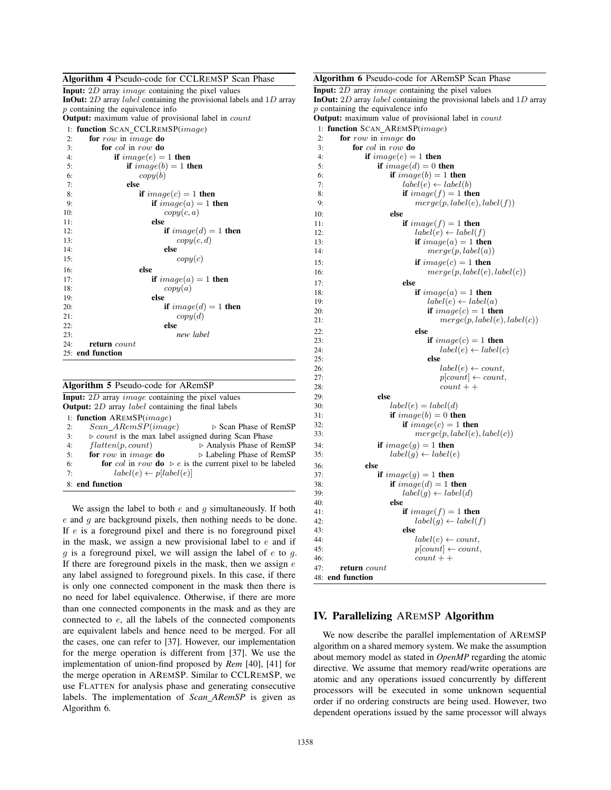# Algorithm 4 Pseudo-code for CCLREMSP Scan Phase

| <b>Input:</b> 2D array <i>image</i> containing the pixel values                      |
|--------------------------------------------------------------------------------------|
| <b>InOut:</b> 2D array <i>label</i> containing the provisional labels and $1D$ array |
| $p$ containing the equivalence info                                                  |
| <b>Output:</b> maximum value of provisional label in <i>count</i>                    |
| 1: function SCAN_CCLREMSP( <i>image</i> )                                            |
| 2:<br>for row in <i>image</i> do                                                     |
| for col in row do<br>3:                                                              |
| if $image(e) = 1$ then<br>4:                                                         |
| if $image(b) = 1$ then<br>5:                                                         |
| copy(b)<br>6:                                                                        |
| else<br>7:                                                                           |
| if $image(c) = 1$ then<br>8:                                                         |
| if $image(a) = 1$ then<br>9:                                                         |
| copy(c, a)<br>10:                                                                    |
| else<br>11:                                                                          |
| if $image(d) = 1$ then<br>12:                                                        |
| copy(c, d)<br>13:                                                                    |
| else<br>14:                                                                          |
| $\text{copy}(c)$<br>15:                                                              |
| else<br>16:                                                                          |
| if $image(a) = 1$ then<br>17:                                                        |
| copy(a)<br>18:                                                                       |
| else<br>19:                                                                          |
| if $image(d) = 1$ then<br>20:                                                        |
| copy(d)<br>21:                                                                       |
| else<br>22:                                                                          |
| new label<br>23:                                                                     |
| 24:<br>return count                                                                  |
| 25: end function                                                                     |
|                                                                                      |

| <b>Algorithm 5</b> Pseudo-code for ARemSP                                    |  |  |  |  |  |
|------------------------------------------------------------------------------|--|--|--|--|--|
| <b>Input:</b> 2D array <i>image</i> containing the pixel values              |  |  |  |  |  |
| <b>Output:</b> 2D array <i>label</i> containing the final labels             |  |  |  |  |  |
| 1: function $AREMSP(image)$                                                  |  |  |  |  |  |
| $Scan$ $ARemSP(image)$<br>⊳ Scan Phase of RemSP<br>2:                        |  |  |  |  |  |
| $\triangleright$ count is the max label assigned during Scan Phase<br>3:     |  |  |  |  |  |
| flatten(p, count)<br>$\triangleright$ Analysis Phase of RemSP<br>4:          |  |  |  |  |  |
| for row in <i>image</i> do<br>$\triangleright$ Labeling Phase of RemSP<br>5: |  |  |  |  |  |
| for col in row do $\rhd$ e is the current pixel to be labeled<br>6:          |  |  |  |  |  |
| $label(e) \leftarrow pl[label(e)]$<br>7:                                     |  |  |  |  |  |
| 8: end function                                                              |  |  |  |  |  |

We assign the label to both  $e$  and  $g$  simultaneously. If both  $e$  and  $g$  are background pixels, then nothing needs to be done. If e is a foreground pixel and there is no foreground pixel in the mask, we assign a new provisional label to  $e$  and if q is a foreground pixel, we will assign the label of  $e$  to  $q$ . If there are foreground pixels in the mask, then we assign  $e$ any label assigned to foreground pixels. In this case, if there is only one connected component in the mask then there is no need for label equivalence. Otherwise, if there are more than one connected components in the mask and as they are connected to e, all the labels of the connected components are equivalent labels and hence need to be merged. For all the cases, one can refer to [37]. However, our implementation for the merge operation is different from [37]. We use the implementation of union-find proposed by *Rem* [40], [41] for the merge operation in AREMSP. Similar to CCLREMSP, we use FLATTEN for analysis phase and generating consecutive labels. The implementation of *Scan ARemSP* is given as Algorithm 6.

```
Algorithm 6 Pseudo-code for ARemSP Scan Phase
Input: 2D array image containing the pixel values
InOut: 2D array label containing the provisional labels and 1D array
p containing the equivalence info
Output: maximum value of provisional label in count
1: function SCAN AREMSP(image)
2: for row in image do<br>3: for col in row do
        for col in row do
4: if image(e)=1 then
5: if image(d)=0 then
6: if image(b)=1 then
7: label(e) \leftarrow label(b)<br>8: if image(f) = 1 th
8: if image(f) = 1 then<br>9: merge(p, label(e))merge(p, label(e), label(f))10: else
11: if image(f) = 1 then
12: label(e) \leftarrow label(f)<br>
13: \qquad \qquad \textbf{if } image(a) = 1 \textbf{ the}if image(a)=1 then
14: merge(p, label(a))15: if image(c)=1 then
16: merge(p, label(e), label(c))17: else
18: if image(a)=1 then
19: label(e) \leftarrow label(a)<br>
20: if image(c) = 1 the
                         if image(c)=1 then
21: merge(p, label(e), label(c))22: else
23: if image(c)=1 then
24: label(e) \leftarrow label(e)<br>25: else
25: else
26: label(e) \leftarrow count,<br>
27: plcount) \leftarrow count,27: p[count] \leftarrow count,<br>28: count + +count + +29: else<br>30:
30: label(e) = label(d)<br>31: if image(b) = 0 the
                 if image(b)=0 then
32: if image(c)=1 then
33: merge(p, label(e), label(c))34: if image(g) = 1 then
35: label(g) \leftarrow label(e)36: else
37: if image(g) = 1 then
38: if image(d)=1 then
39: label(g) \leftarrow label(d)<br>40: else
                 else
41: if image(f) = 1 then
42: label(g) \leftarrow label(f)<br>43. else
43: else
44: label(e) \leftarrow count,<br>45: label(e) \leftarrow count,45: p[count] \leftarrow count,<br>46: count + +count + +47: return count
48: end function
```
# IV. Parallelizing AREMSP Algorithm

We now describe the parallel implementation of AREMSP algorithm on a shared memory system. We make the assumption about memory model as stated in *OpenMP* regarding the atomic directive. We assume that memory read/write operations are atomic and any operations issued concurrently by different processors will be executed in some unknown sequential order if no ordering constructs are being used. However, two dependent operations issued by the same processor will always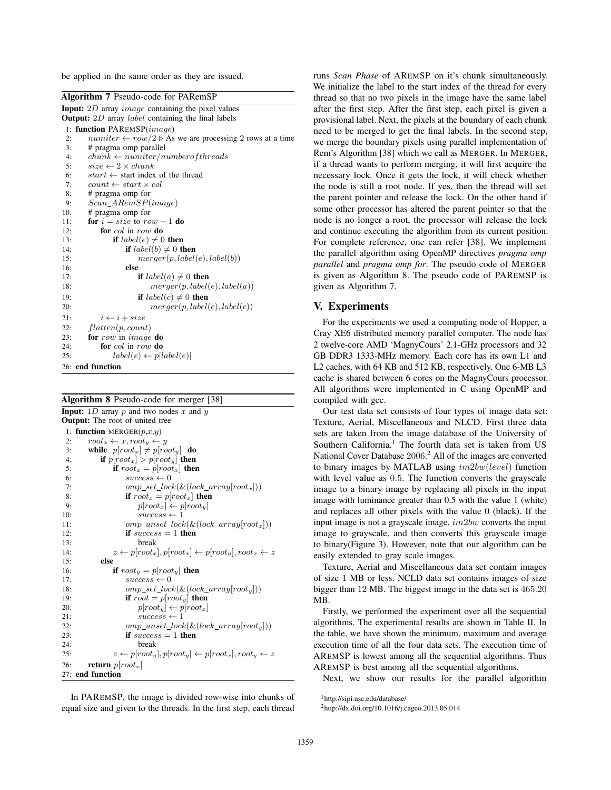be applied in the same order as they are issued.

| <b>Algorithm 7</b> Pseudo-code for PARemSP                                           |
|--------------------------------------------------------------------------------------|
| <b>Input:</b> $2D$ array <i>image</i> containing the pixel values                    |
| <b>Output:</b> 2D array <i>label</i> containing the final labels                     |
| 1: function PAREMSP(image)                                                           |
| $number \leftarrow row/2 \triangleright$ As we are processing 2 rows at a time<br>2: |
| # pragma omp parallel<br>3:                                                          |
| $chunk \leftarrow numiter/number of threads$<br>4:                                   |
| $size \leftarrow 2 \times chunk$<br>5:                                               |
| $start \leftarrow$ start index of the thread<br>6:                                   |
| 7:<br>$count \leftarrow start \times col$                                            |
| 8:<br># pragma omp for                                                               |
| $Scan\_ARemSP(image)$<br>9:                                                          |
| # pragma omp for<br>10:                                                              |
| for $i = size$ to $row - 1$ do<br>11:                                                |
| for col in row do<br>12:                                                             |
| if $label(e) \neq 0$ then<br>13:                                                     |
| if $label(b) \neq 0$ then<br>14:                                                     |
| merger(p, label(e), label(b))<br>15:                                                 |
| 16:<br>else                                                                          |
| 17:<br><b>if</b> $label(a) \neq 0$ then                                              |
| merger(p, label(e), label(a))<br>18:                                                 |
| if $label(c) \neq 0$ then<br>19:                                                     |
| merger(p, label(e), label(c))<br>20:                                                 |
| $i \leftarrow i + size$<br>21:                                                       |
| flatten(p, count)<br>22:                                                             |
| 23:<br>for row in <i>image</i> do                                                    |
| for col in row do<br>24:                                                             |
| $label(e) \leftarrow pl[label(e)]$<br>25:                                            |
| 26: end function                                                                     |

Algorithm 8 Pseudo-code for merger [38]

| <b>Input:</b> 1D array p and two nodes x and y                                               |  |  |  |
|----------------------------------------------------------------------------------------------|--|--|--|
| <b>Output:</b> The root of united tree                                                       |  |  |  |
| 1: function MERGER $(p,x,y)$                                                                 |  |  |  |
| $root_x \leftarrow x, root_y \leftarrow y$<br>2:                                             |  |  |  |
| while $p[root_x] \neq p[root_y]$ do<br>3:                                                    |  |  |  |
| if $p[root_x] > p[root_y]$ then<br>4:                                                        |  |  |  |
| if $root_x = p(root_x)$ then<br>5:                                                           |  |  |  |
| $success \leftarrow 0$<br>6:                                                                 |  |  |  |
| $omp\_set\_lock(\&(lock\_array[root_x]))$<br>7:                                              |  |  |  |
| if $root_x = p(root_x)$ then<br>8:                                                           |  |  |  |
| $p[root_x] \leftarrow p[root_y]$<br>9:                                                       |  |  |  |
| $success \leftarrow 1$<br>10:                                                                |  |  |  |
| $omp\_unset\_lock(\&(lock\_array[root_x]))$<br>11:                                           |  |  |  |
| if $success = 1$ then<br>12:                                                                 |  |  |  |
| 13:<br>break                                                                                 |  |  |  |
| $z \leftarrow p[root_x], p[root_x] \leftarrow p[root_y], root_x \leftarrow z$<br>14:         |  |  |  |
| else<br>15:                                                                                  |  |  |  |
| if $root_y = p(root_y)$ then<br>16:                                                          |  |  |  |
| $success \leftarrow 0$<br>17:                                                                |  |  |  |
| $omp\_set\_lock(\&(lock\_array[root_u]))$<br>18:                                             |  |  |  |
| if $root = p(root_u)$ then<br>19:                                                            |  |  |  |
| $p[rooty] \leftarrow p[rootx]$<br>20:                                                        |  |  |  |
| $success \leftarrow 1$<br>21:                                                                |  |  |  |
| $omp\_unset\_lock(\&(lock\_array[root_y]))$<br>22:                                           |  |  |  |
| if $success = 1$ then<br>23:                                                                 |  |  |  |
| 24:<br>break                                                                                 |  |  |  |
| $z \leftarrow p[root_{u}], p[root_{u}] \leftarrow p[root_{x}], root_{u} \leftarrow z$<br>25: |  |  |  |
| <b>return</b> $p[root_x]$<br>26:                                                             |  |  |  |
| 27: end function                                                                             |  |  |  |

In PAREMSP, the image is divided row-wise into chunks of equal size and given to the threads. In the first step, each thread runs *Scan Phase* of AREMSP on it's chunk simultaneously. We initialize the label to the start index of the thread for every thread so that no two pixels in the image have the same label after the first step. After the first step, each pixel is given a provisional label. Next, the pixels at the boundary of each chunk need to be merged to get the final labels. In the second step, we merge the boundary pixels using parallel implementation of Rem's Algorithm [38] which we call as MERGER. In MERGER, if a thread wants to perform merging, it will first acquire the necessary lock. Once it gets the lock, it will check whether the node is still a root node. If yes, then the thread will set the parent pointer and release the lock. On the other hand if some other processor has altered the parent pointer so that the node is no longer a root, the processor will release the lock and continue executing the algorithm from its current position. For complete reference, one can refer [38]. We implement the parallel algorithm using OpenMP directives *pragma omp parallel* and *pragma omp for*. The pseudo code of MERGER is given as Algorithm 8. The pseudo code of PAREMSP is given as Algorithm 7.

# V. Experiments

For the experiments we used a computing node of Hopper, a Cray XE6 distributed memory parallel computer. The node has 2 twelve-core AMD 'MagnyCours' 2.1-GHz processors and 32 GB DDR3 1333-MHz memory. Each core has its own L1 and L2 caches, with 64 KB and 512 KB, respectively. One 6-MB L3 cache is shared between 6 cores on the MagnyCours processor. All algorithms were implemented in C using OpenMP and compiled with gcc.

Our test data set consists of four types of image data set: Texture, Aerial, Miscellaneous and NLCD. First three data sets are taken from the image database of the University of Southern California.<sup>1</sup> The fourth data set is taken from US National Cover Database 2006.<sup>2</sup> All of the images are converted to binary images by MATLAB using im2bw(level) function with level value as 0.5. The function converts the grayscale image to a binary image by replacing all pixels in the input image with luminance greater than 0.5 with the value 1 (white) and replaces all other pixels with the value 0 (black). If the input image is not a grayscale image, im2bw converts the input image to grayscale, and then converts this grayscale image to binary(Figure 3). However, note that our algorithm can be easily extended to gray scale images.

Texture, Aerial and Miscellaneous data set contain images of size 1 MB or less. NCLD data set contains images of size bigger than 12 MB. The biggest image in the data set is 465.20 MB.

Firstly, we performed the experiment over all the sequential algorithms. The experimental results are shown in Table II. In the table, we have shown the minimum, maximum and average execution time of all the four data sets. The execution time of AREMSP is lowest among all the sequential algorithms. Thus AREMSP is best among all the sequential algorithms.

Next, we show our results for the parallel algorithm

<sup>1</sup>http://sipi.usc.edu/database/

<sup>2</sup>http://dx.doi.org/10.1016/j.cageo.2013.05.014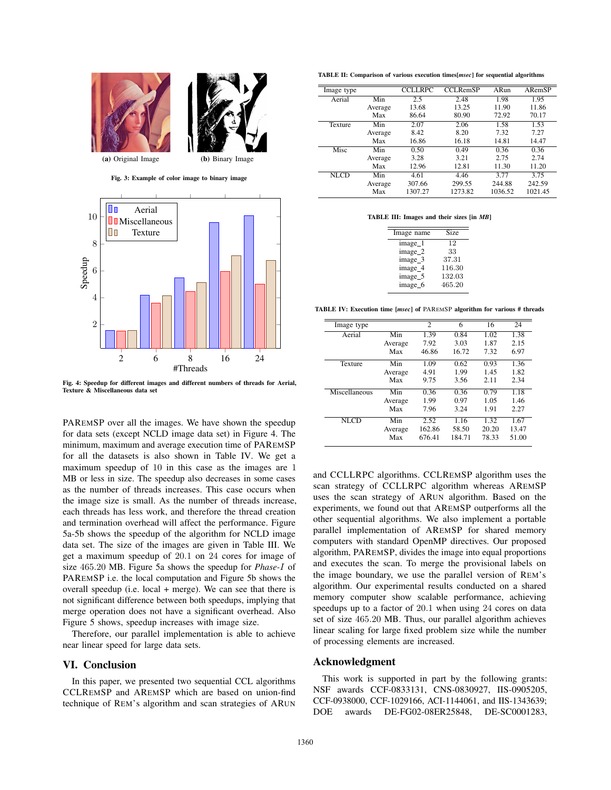



Fig. 4: Speedup for different images and different numbers of threads for Aerial, Texture & Miscellaneous data set

PAREMSP over all the images. We have shown the speedup for data sets (except NCLD image data set) in Figure 4. The minimum, maximum and average execution time of PAREMSP for all the datasets is also shown in Table IV. We get a maximum speedup of 10 in this case as the images are 1 MB or less in size. The speedup also decreases in some cases as the number of threads increases. This case occurs when the image size is small. As the number of threads increase, each threads has less work, and therefore the thread creation and termination overhead will affect the performance. Figure 5a-5b shows the speedup of the algorithm for NCLD image data set. The size of the images are given in Table III. We get a maximum speedup of 20.1 on 24 cores for image of size 465.20 MB. Figure 5a shows the speedup for *Phase-*I of PAREMSP i.e. the local computation and Figure 5b shows the overall speedup (i.e. local + merge). We can see that there is not significant difference between both speedups, implying that merge operation does not have a significant overhead. Also Figure 5 shows, speedup increases with image size.

Therefore, our parallel implementation is able to achieve near linear speed for large data sets.

#### VI. Conclusion

In this paper, we presented two sequential CCL algorithms CCLREMSP and AREMSP which are based on union-find technique of REM's algorithm and scan strategies of ARUN

TABLE II: Comparison of various execution times[*msec*] for sequential algorithms

| Image type  |         | <b>CCLLRPC</b> | <b>CCLRemSP</b> | ARun    | ARemSP  |
|-------------|---------|----------------|-----------------|---------|---------|
| Aerial      | Min     | 2.5            | 2.48            | 1.98    | 1.95    |
|             | Average | 13.68          | 13.25           | 11.90   | 11.86   |
|             | Max     | 86.64          | 80.90           | 72.92   | 70.17   |
| Texture     | Min     | 2.07           | 2.06            | 1.58    | 1.53    |
|             | Average | 8.42           | 8.20            | 7.32    | 7.27    |
|             | Max     | 16.86          | 16.18           | 14.81   | 14.47   |
| Misc        | Min     | 0.50           | 0.49            | 0.36    | 0.36    |
|             | Average | 3.28           | 3.21            | 2.75    | 2.74    |
|             | Max     | 12.96          | 12.81           | 11.30   | 11.20   |
| <b>NLCD</b> | Min     | 4.61           | 4.46            | 3.77    | 3.75    |
|             | Average | 307.66         | 299.55          | 244.88  | 242.59  |
|             | Max     | 1307.27        | 1273.82         | 1036.52 | 1021.45 |

TABLE III: Images and their sizes [in *MB*]

| <b>Size</b> |
|-------------|
| 12          |
| 33          |
| 37.31       |
| 116.30      |
| 132.03      |
| 465.20      |
|             |

TABLE IV: Execution time [*msec*] of PAREMSP algorithm for various # threads

| Image type    |         | 2      | 6      | 16    | 24    |
|---------------|---------|--------|--------|-------|-------|
| Aerial        | Min     | 1.39   | 0.84   | 1.02  | 1.38  |
|               | Average | 7.92   | 3.03   | 1.87  | 2.15  |
|               | Max     | 46.86  | 16.72  | 7.32  | 6.97  |
| Texture       | Min     | 1.09   | 0.62   | 0.93  | 1.36  |
|               | Average | 4.91   | 1.99   | 1.45  | 1.82  |
|               | Max     | 9.75   | 3.56   | 2.11  | 2.34  |
| Miscellaneous | Min     | 0.36   | 0.36   | 0.79  | 1.18  |
|               | Average | 1.99   | 0.97   | 1.05  | 1.46  |
|               | Max     | 7.96   | 3.24   | 1.91  | 2.27  |
| NLCD          | Min     | 2.52   | 1.16   | 1.32  | 1.67  |
|               | Average | 162.86 | 58.50  | 20.20 | 13.47 |
|               | Max     | 676.41 | 184.71 | 78.33 | 51.00 |

and CCLLRPC algorithms. CCLREMSP algorithm uses the scan strategy of CCLLRPC algorithm whereas AREMSP uses the scan strategy of ARUN algorithm. Based on the experiments, we found out that AREMSP outperforms all the other sequential algorithms. We also implement a portable parallel implementation of AREMSP for shared memory computers with standard OpenMP directives. Our proposed algorithm, PAREMSP, divides the image into equal proportions and executes the scan. To merge the provisional labels on the image boundary, we use the parallel version of REM's algorithm. Our experimental results conducted on a shared memory computer show scalable performance, achieving speedups up to a factor of 20.1 when using 24 cores on data set of size 465.20 MB. Thus, our parallel algorithm achieves linear scaling for large fixed problem size while the number of processing elements are increased.

#### Acknowledgment

This work is supported in part by the following grants: NSF awards CCF-0833131, CNS-0830927, IIS-0905205, CCF-0938000, CCF-1029166, ACI-1144061, and IIS-1343639; DOE awards DE-FG02-08ER25848, DE-SC0001283,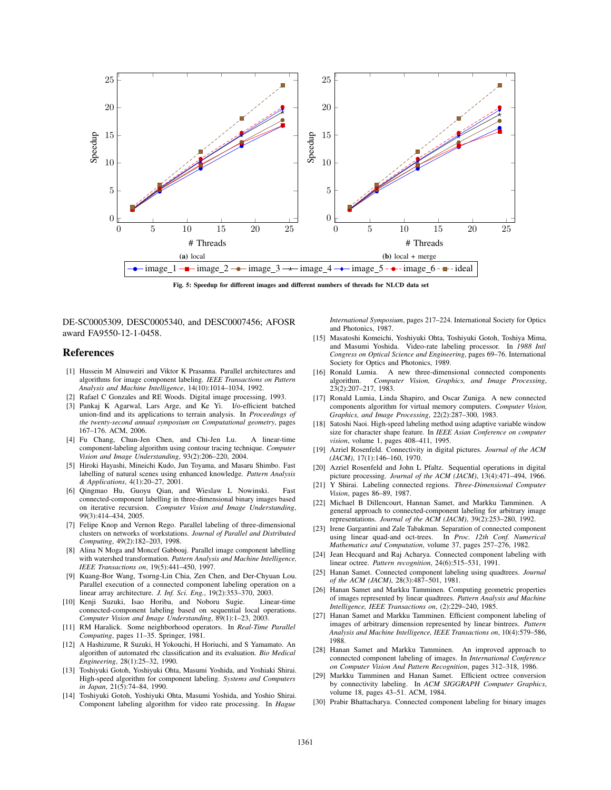

Fig. 5: Speedup for different images and different numbers of threads for NLCD data set

DE-SC0005309, DESC0005340, and DESC0007456; AFOSR award FA9550-12-1-0458.

#### **References**

- [1] Hussein M Alnuweiri and Viktor K Prasanna. Parallel architectures and algorithms for image component labeling. *IEEE Transactions on Pattern Analysis and Machine Intelligence*, 14(10):1014–1034, 1992.
- [2] Rafael C Gonzales and RE Woods. Digital image processing, 1993.
- [3] Pankaj K Agarwal, Lars Arge, and Ke Yi. I/o-efficient batched union-find and its applications to terrain analysis. In *Proceedings of the twenty-second annual symposium on Computational geometry*, pages 167–176. ACM, 2006.
- [4] Fu Chang, Chun-Jen Chen, and Chi-Jen Lu. A linear-time component-labeling algorithm using contour tracing technique. *Computer Vision and Image Understanding*, 93(2):206–220, 2004.
- [5] Hiroki Hayashi, Mineichi Kudo, Jun Toyama, and Masaru Shimbo. Fast labelling of natural scenes using enhanced knowledge. *Pattern Analysis & Applications*, 4(1):20–27, 2001.
- [6] Qingmao Hu, Guoyu Qian, and Wieslaw L Nowinski. Fast connected-component labelling in three-dimensional binary images based on iterative recursion. *Computer Vision and Image Understanding*, 99(3):414–434, 2005.
- [7] Felipe Knop and Vernon Rego. Parallel labeling of three-dimensional clusters on networks of workstations. *Journal of Parallel and Distributed Computing*, 49(2):182–203, 1998.
- [8] Alina N Moga and Moncef Gabbouj. Parallel image component labelling with watershed transformation. *Pattern Analysis and Machine Intelligence, IEEE Transactions on*, 19(5):441–450, 1997.
- [9] Kuang-Bor Wang, Tsorng-Lin Chia, Zen Chen, and Der-Chyuan Lou. Parallel execution of a connected component labeling operation on a linear array architecture. *J. Inf. Sci. Eng.*, 19(2):353–370, 2003.
- [10] Kenji Suzuki, Isao Horiba, and Noboru Sugie. Linear-time connected-component labeling based on sequential local operations. *Computer Vision and Image Understanding*, 89(1):1–23, 2003.
- [11] RM Haralick. Some neighborhood operators. In *Real-Time Parallel Computing*, pages 11–35. Springer, 1981.
- [12] A Hashizume, R Suzuki, H Yokouchi, H Horiuchi, and S Yamamato. An algorithm of automated rbc classification and its evaluation. *Bio Medical Engineering*, 28(1):25–32, 1990.
- [13] Toshiyuki Gotoh, Yoshiyuki Ohta, Masumi Yoshida, and Yoshiaki Shirai. High-speed algorithm for component labeling. *Systems and Computers in Japan*, 21(5):74–84, 1990.
- [14] Toshiyuki Gotoh, Yoshiyuki Ohta, Masumi Yoshida, and Yoshio Shirai. Component labeling algorithm for video rate processing. In *Hague*

*International Symposium*, pages 217–224. International Society for Optics and Photonics, 1987.

- [15] Masatoshi Komeichi, Yoshiyuki Ohta, Toshiyuki Gotoh, Toshiya Mima, and Masumi Yoshida. Video-rate labeling processor. In *1988 Intl Congress on Optical Science and Engineering*, pages 69–76. International Society for Optics and Photonics, 1989.
- [16] Ronald Lumia. A new three-dimensional connected components algorithm. *Computer Vision, Graphics, and Image Processing*, 23(2):207–217, 1983.
- [17] Ronald Lumia, Linda Shapiro, and Oscar Zuniga. A new connected components algorithm for virtual memory computers. *Computer Vision, Graphics, and Image Processing*, 22(2):287–300, 1983.
- [18] Satoshi Naoi. High-speed labeling method using adaptive variable window size for character shape feature. In *IEEE Asian Conference on computer vision*, volume 1, pages 408–411, 1995.
- [19] Azriel Rosenfeld. Connectivity in digital pictures. *Journal of the ACM (JACM)*, 17(1):146–160, 1970.
- [20] Azriel Rosenfeld and John L Pfaltz. Sequential operations in digital picture processing. *Journal of the ACM (JACM)*, 13(4):471–494, 1966.
- [21] Y Shirai. Labeling connected regions. *Three-Dimensional Computer Vision*, pages 86–89, 1987.
- [22] Michael B Dillencourt, Hannan Samet, and Markku Tamminen. A general approach to connected-component labeling for arbitrary image representations. *Journal of the ACM (JACM)*, 39(2):253–280, 1992.
- [23] Irene Gargantini and Zale Tabakman. Separation of connected component using linear quad-and oct-trees. In *Proc. 12th Conf. Numerical Mathematics and Computation*, volume 37, pages 257–276, 1982.
- [24] Jean Hecquard and Raj Acharya. Connected component labeling with linear octree. *Pattern recognition*, 24(6):515–531, 1991.
- [25] Hanan Samet. Connected component labeling using quadtrees. *Journal of the ACM (JACM)*, 28(3):487–501, 1981.
- [26] Hanan Samet and Markku Tamminen. Computing geometric properties of images represented by linear quadtrees. *Pattern Analysis and Machine Intelligence, IEEE Transactions on*, (2):229–240, 1985.
- [27] Hanan Samet and Markku Tamminen. Efficient component labeling of images of arbitrary dimension represented by linear bintrees. *Pattern Analysis and Machine Intelligence, IEEE Transactions on*, 10(4):579–586, 1988.
- [28] Hanan Samet and Markku Tamminen. An improved approach to connected component labeling of images. In *International Conference on Computer Vision And Pattern Recognition*, pages 312–318, 1986.
- [29] Markku Tamminen and Hanan Samet. Efficient octree conversion by connectivity labeling. In *ACM SIGGRAPH Computer Graphics*, volume 18, pages 43–51. ACM, 1984.
- [30] Prabir Bhattacharya. Connected component labeling for binary images